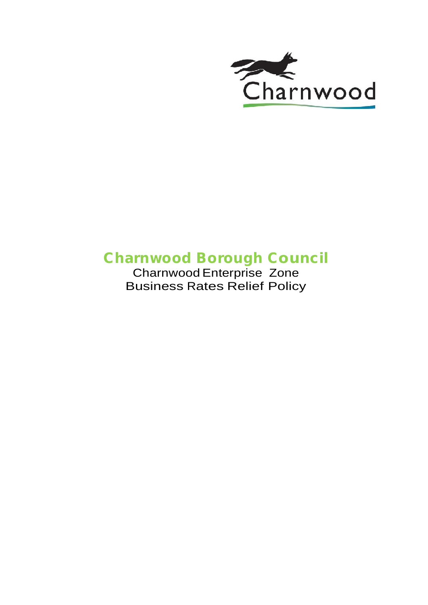

# **Charnwood Borough Council**

Charnwood Enterprise Zone Business Rates Relief Policy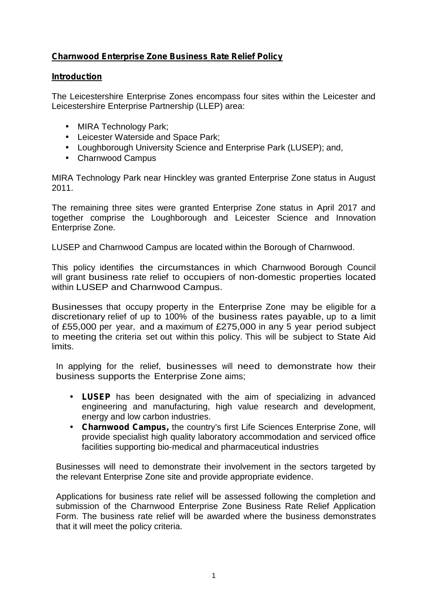## **Charnwood Enterprise Zone Business Rate Relief Policy**

#### **Introduction**

The Leicestershire Enterprise Zones encompass four sites within the Leicester and Leicestershire Enterprise Partnership (LLEP) area:

- MIRA Technology Park;
- Leicester Waterside and Space Park;
- Loughborough University Science and Enterprise Park (LUSEP); and,
- Charnwood Campus

MIRA Technology Park near Hinckley was granted Enterprise Zone status in August 2011.

The remaining three sites were granted Enterprise Zone status in April 2017 and together comprise the Loughborough and Leicester Science and Innovation Enterprise Zone.

LUSEP and Charnwood Campus are located within the Borough of Charnwood.

This policy identifies the circumstances in which Charnwood Borough Council will grant business rate relief to occupiers of non-domestic properties located within LUSEP and Charnwood Campus.

Businesses that occupy property in the Enterprise Zone may be eligible for a discretionary relief of up to 100% of the business rates payable, up to a limit of £55,000 per year, and a maximum of £275,000 in any 5 year period subject to meeting the criteria set out within this policy. This will be subject to State Aid limits.

In applying for the relief, businesses will need to demonstrate how their business supports the Enterprise Zone aims;

- **LUSEP** has been designated with the aim of specializing in advanced engineering and manufacturing, high value research and development, energy and low carbon industries.
- **Charnwood Campus,** the country's first Life Sciences Enterprise Zone, will provide specialist high quality laboratory accommodation and serviced office facilities supporting bio-medical and pharmaceutical industries

Businesses will need to demonstrate their involvement in the sectors targeted by the relevant Enterprise Zone site and provide appropriate evidence.

Applications for business rate relief will be assessed following the completion and submission of the Charnwood Enterprise Zone Business Rate Relief Application Form. The business rate relief will be awarded where the business demonstrates that it will meet the policy criteria.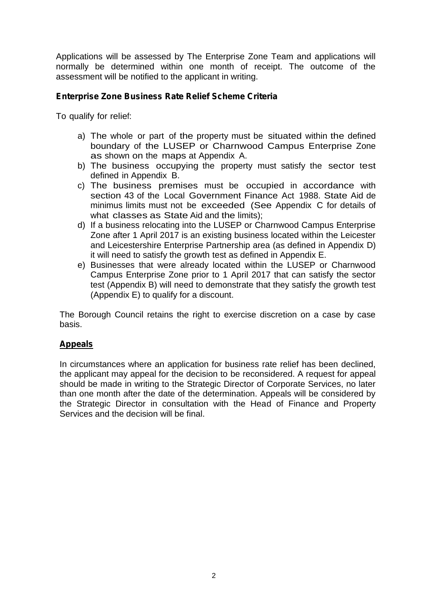Applications will be assessed by The Enterprise Zone Team and applications will normally be determined within one month of receipt. The outcome of the assessment will be notified to the applicant in writing.

### **Enterprise Zone Business Rate Relief Scheme Criteria**

To qualify for relief:

- a) The whole or part of the property must be situated within the defined boundary of the LUSEP or Charnwood Campus Enterprise Zone as shown on the maps at Appendix A.
- b) The business occupying the property must satisfy the sector test defined in Appendix B.
- c) The business premises must be occupied in accordance with section 43 of the Local Government Finance Act 1988. State Aid de minimus limits must not be exceeded (See Appendix C for details of what classes as State Aid and the limits);
- d) If a business relocating into the LUSEP or Charnwood Campus Enterprise Zone after 1 April 2017 is an existing business located within the Leicester and Leicestershire Enterprise Partnership area (as defined in Appendix D) it will need to satisfy the growth test as defined in Appendix E.
- e) Businesses that were already located within the LUSEP or Charnwood Campus Enterprise Zone prior to 1 April 2017 that can satisfy the sector test (Appendix B) will need to demonstrate that they satisfy the growth test (Appendix E) to qualify for a discount.

The Borough Council retains the right to exercise discretion on a case by case basis.

#### **Appeals**

In circumstances where an application for business rate relief has been declined, the applicant may appeal for the decision to be reconsidered. A request for appeal should be made in writing to the Strategic Director of Corporate Services, no later than one month after the date of the determination. Appeals will be considered by the Strategic Director in consultation with the Head of Finance and Property Services and the decision will be final.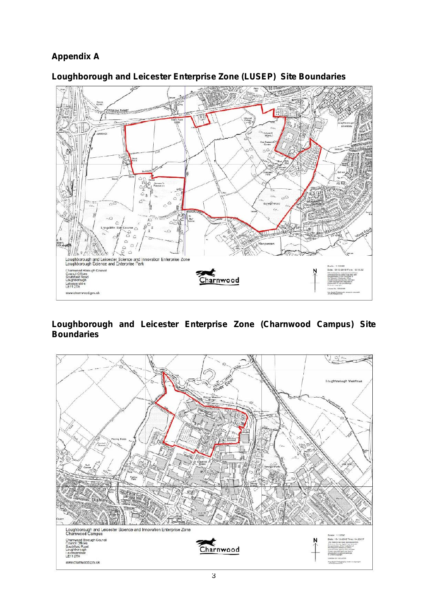# **Appendix A**



# **Loughborough and Leicester Enterprise Zone (LUSEP) Site Boundaries**

## **Loughborough and Leicester Enterprise Zone (Charnwood Campus) Site Boundaries**

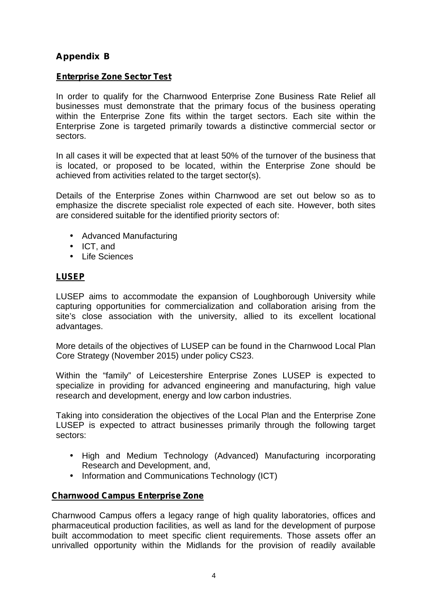## **Appendix B**

#### **Enterprise Zone Sector Test**

In order to qualify for the Charnwood Enterprise Zone Business Rate Relief all businesses must demonstrate that the primary focus of the business operating within the Enterprise Zone fits within the target sectors. Each site within the Enterprise Zone is targeted primarily towards a distinctive commercial sector or sectors.

In all cases it will be expected that at least 50% of the turnover of the business that is located, or proposed to be located, within the Enterprise Zone should be achieved from activities related to the target sector(s).

Details of the Enterprise Zones within Charnwood are set out below so as to emphasize the discrete specialist role expected of each site. However, both sites are considered suitable for the identified priority sectors of:

- Advanced Manufacturing
- ICT, and
- Life Sciences

## **LUSEP**

LUSEP aims to accommodate the expansion of Loughborough University while capturing opportunities for commercialization and collaboration arising from the site's close association with the university, allied to its excellent locational advantages.

More details of the objectives of LUSEP can be found in the Charnwood Local Plan Core Strategy (November 2015) under policy CS23.

Within the "family" of Leicestershire Enterprise Zones LUSEP is expected to specialize in providing for advanced engineering and manufacturing, high value research and development, energy and low carbon industries.

Taking into consideration the objectives of the Local Plan and the Enterprise Zone LUSEP is expected to attract businesses primarily through the following target sectors:

- High and Medium Technology (Advanced) Manufacturing incorporating Research and Development, and,
- Information and Communications Technology (ICT)

#### **Charnwood Campus Enterprise Zone**

Charnwood Campus offers a legacy range of high quality laboratories, offices and pharmaceutical production facilities, as well as land for the development of purpose built accommodation to meet specific client requirements. Those assets offer an unrivalled opportunity within the Midlands for the provision of readily available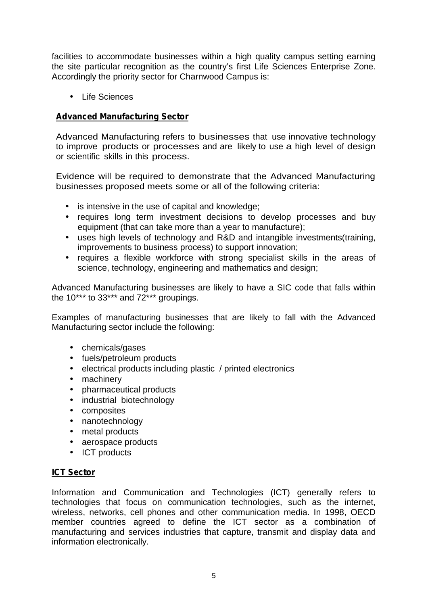facilities to accommodate businesses within a high quality campus setting earning the site particular recognition as the country's first Life Sciences Enterprise Zone. Accordingly the priority sector for Charnwood Campus is:

Life Sciences

## **Advanced Manufacturing Sector**

Advanced Manufacturing refers to businesses that use innovative technology to improve products or processes and are likely to use a high level of design or scientific skills in this process.

Evidence will be required to demonstrate that the Advanced Manufacturing businesses proposed meets some or all of the following criteria:

- $\int$  is intensive in the use of capital and knowledge;
- $\hat{I}$  requires long term investment decisions to develop processes and buy equipment (that can take more than a year to manufacture);
- uses high levels of technology and R&D and intangible investments(training, improvements to business process) to support innovation;
- requires a flexible workforce with strong specialist skills in the areas of science, technology, engineering and mathematics and design;

Advanced Manufacturing businesses are likely to have a SIC code that falls within the 10\*\*\* to 33\*\*\* and 72\*\*\* groupings.

Examples of manufacturing businesses that are likely to fall with the Advanced Manufacturing sector include the following:

- chemicals/gases
- ) fuels/petroleum products
- electrical products including plastic / printed electronics
- machinery
- pharmaceutical products
- industrial biotechnology
- composites
- nanotechnology
- metal products
- aerospace products
- ICT products

## **ICT Sector**

Information and Communication and Technologies (ICT) generally refers to technologies that focus on communication technologies, such as the internet, wireless, networks, cell phones and other communication media. In 1998, OECD member countries agreed to define the ICT sector as a combination of manufacturing and services industries that capture, transmit and display data and information electronically.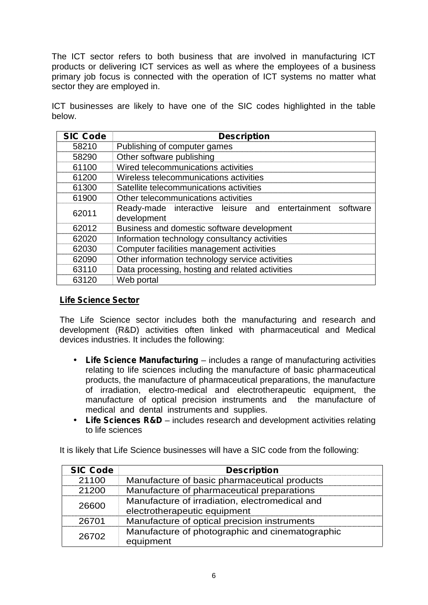The ICT sector refers to both business that are involved in manufacturing ICT products or delivering ICT services as well as where the employees of a business primary job focus is connected with the operation of ICT systems no matter what sector they are employed in.

ICT businesses are likely to have one of the SIC codes highlighted in the table below.

| <b>SIC Code</b> | <b>Description</b>                                                       |
|-----------------|--------------------------------------------------------------------------|
| 58210           | Publishing of computer games                                             |
| 58290           | Other software publishing                                                |
| 61100           | Wired telecommunications activities                                      |
| 61200           | Wireless telecommunications activities                                   |
| 61300           | Satellite telecommunications activities                                  |
| 61900           | Other telecommunications activities                                      |
| 62011           | Ready-made interactive leisure and entertainment software<br>development |
| 62012           | Business and domestic software development                               |
| 62020           | Information technology consultancy activities                            |
| 62030           | Computer facilities management activities                                |
| 62090           | Other information technology service activities                          |
| 63110           | Data processing, hosting and related activities                          |
| 63120           | Web portal                                                               |

#### **Life Science Sector**

The Life Science sector includes both the manufacturing and research and development (R&D) activities often linked with pharmaceutical and Medical devices industries. It includes the following:

- **Life Science Manufacturing** includes a range of manufacturing activities relating to life sciences including the manufacture of basic pharmaceutical products, the manufacture of pharmaceutical preparations, the manufacture of irradiation, electro-medical and electrotherapeutic equipment, the manufacture of optical precision instruments and the manufacture of medical and dental instruments and supplies.
- **Life Sciences R&D** includes research and development activities relating to life sciences

It is likely that Life Science businesses will have a SIC code from the following:

| <b>SIC Code</b> | <b>Description</b>                                                             |
|-----------------|--------------------------------------------------------------------------------|
| 21100           | Manufacture of basic pharmaceutical products                                   |
| 21200           | Manufacture of pharmaceutical preparations                                     |
| 26600           | Manufacture of irradiation, electromedical and<br>electrotherapeutic equipment |
| 26701           | Manufacture of optical precision instruments                                   |
| 26702           | Manufacture of photographic and cinematographic<br>equipment                   |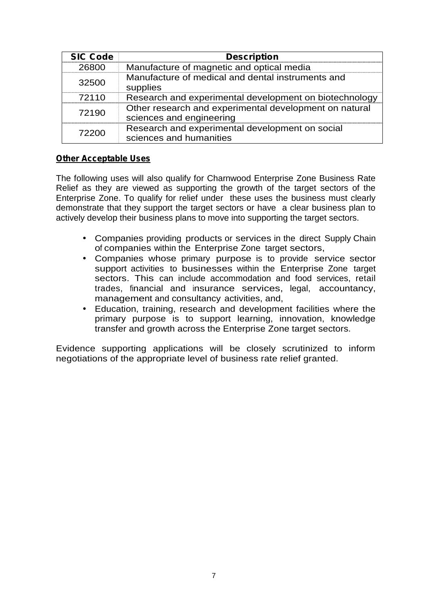| <b>SIC Code</b> | <b>Description</b>                                                                 |
|-----------------|------------------------------------------------------------------------------------|
| 26800           | Manufacture of magnetic and optical media                                          |
| 32500           | Manufacture of medical and dental instruments and<br>supplies                      |
| 72110           | Research and experimental development on biotechnology                             |
| 72190           | Other research and experimental development on natural<br>sciences and engineering |
| 72200           | Research and experimental development on social<br>sciences and humanities         |

#### **Other Acceptable Uses**

The following uses will also qualify for Charnwood Enterprise Zone Business Rate Relief as they are viewed as supporting the growth of the target sectors of the Enterprise Zone. To qualify for relief under these uses the business must clearly demonstrate that they support the target sectors or have a clear business plan to actively develop their business plans to move into supporting the target sectors.

- Companies providing products or services in the direct Supply Chain of companies within the Enterprise Zone target sectors,
- Companies whose primary purpose is to provide service sector support activities to businesses within the Enterprise Zone target sectors. This can include accommodation and food services, retail trades, financial and insurance services, legal, accountancy, management and consultancy activities, and,
- Education, training, research and development facilities where the primary purpose is to support learning, innovation, knowledge transfer and growth across the Enterprise Zone target sectors.

Evidence supporting applications will be closely scrutinized to inform negotiations of the appropriate level of business rate relief granted.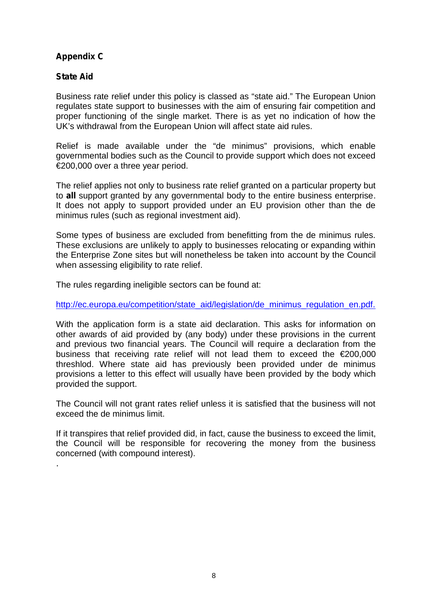## **Appendix C**

#### **State Aid**

.

Business rate relief under this policy is classed as "state aid." The European Union regulates state support to businesses with the aim of ensuring fair competition and proper functioning of the single market. There is as yet no indication of how the UK's withdrawal from the European Union will affect state aid rules.

Relief is made available under the "de minimus" provisions, which enable governmental bodies such as the Council to provide support which does not exceed €200,000 over a three year period.

The relief applies not only to business rate relief granted on a particular property but to **all** support granted by any governmental body to the entire business enterprise. It does not apply to support provided under an EU provision other than the de minimus rules (such as regional investment aid).

Some types of business are excluded from benefitting from the de minimus rules. These exclusions are unlikely to apply to businesses relocating or expanding within the Enterprise Zone sites but will nonetheless be taken into account by the Council when assessing eligibility to rate relief.

The rules regarding ineligible sectors can be found at:

http://ec.europa.eu/competition/state\_aid/legislation/de\_minimus\_regulation\_en.pdf.

With the application form is a state aid declaration. This asks for information on other awards of aid provided by (any body) under these provisions in the current and previous two financial years. The Council will require a declaration from the business that receiving rate relief will not lead them to exceed the €200,000 threshlod. Where state aid has previously been provided under de minimus provisions a letter to this effect will usually have been provided by the body which provided the support.

The Council will not grant rates relief unless it is satisfied that the business will not exceed the de minimus limit.

If it transpires that relief provided did, in fact, cause the business to exceed the limit, the Council will be responsible for recovering the money from the business concerned (with compound interest).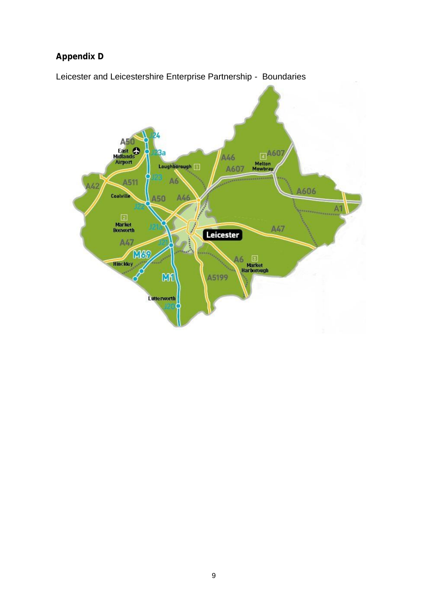## **Appendix D**